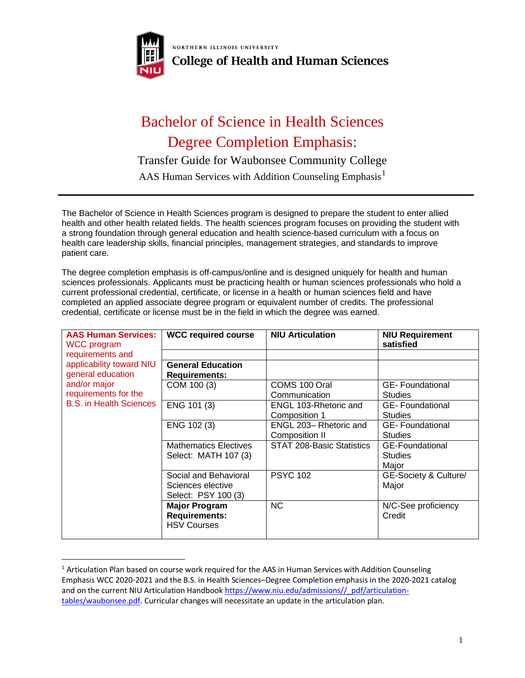

NORTHERN ILLINOIS UNIVERSITY **College of Health and Human Sciences** 

## Bachelor of Science in Health Sciences Degree Completion Emphasis:

Transfer Guide for Waubonsee Community College

AAS Human Services with Addition Counseling Emphasis<sup>1</sup>

The Bachelor of Science in Health Sciences program is designed to prepare the student to enter allied health and other health related fields. The health sciences program focuses on providing the student with a strong foundation through general education and health science-based curriculum with a focus on health care leadership skills, financial principles, management strategies, and standards to improve patient care.

The degree completion emphasis is off-campus/online and is designed uniquely for health and human sciences professionals. Applicants must be practicing health or human sciences professionals who hold a current professional credential, certificate, or license in a health or human sciences field and have completed an applied associate degree program or equivalent number of credits. The professional credential, certificate or license must be in the field in which the degree was earned.

| <b>AAS Human Services:</b><br><b>WCC program</b>                                                                        | <b>WCC required course</b>                                         | <b>NIU Articulation</b>                  | <b>NIU Requirement</b><br>satisfied               |
|-------------------------------------------------------------------------------------------------------------------------|--------------------------------------------------------------------|------------------------------------------|---------------------------------------------------|
| requirements and                                                                                                        |                                                                    |                                          |                                                   |
| applicability toward NIU<br>general education<br>and/or major<br>requirements for the<br><b>B.S. in Health Sciences</b> | <b>General Education</b><br><b>Requirements:</b>                   |                                          |                                                   |
|                                                                                                                         | COM 100 (3)                                                        | COMS 100 Oral<br>Communication           | <b>GE-Foundational</b><br><b>Studies</b>          |
|                                                                                                                         | ENG 101 (3)                                                        | ENGL 103-Rhetoric and<br>Composition 1   | <b>GE-Foundational</b><br><b>Studies</b>          |
|                                                                                                                         | ENG 102 (3)                                                        | ENGL 203- Rhetoric and<br>Composition II | <b>GE-Foundational</b><br><b>Studies</b>          |
|                                                                                                                         | <b>Mathematics Electives</b><br>Select: MATH 107 (3)               | STAT 208-Basic Statistics                | <b>GE-Foundational</b><br><b>Studies</b><br>Major |
|                                                                                                                         | Social and Behavioral<br>Sciences elective<br>Select: PSY 100 (3)  | <b>PSYC 102</b>                          | GE-Society & Culture/<br>Major                    |
|                                                                                                                         | <b>Major Program</b><br><b>Requirements:</b><br><b>HSV Courses</b> | <b>NC</b>                                | N/C-See proficiency<br>Credit                     |

<sup>&</sup>lt;sup>1</sup> Articulation Plan based on course work required for the AAS in Human Services with Addition Counseling Emphasis WCC 2020-2021 and the B.S. in Health Sciences–Degree Completion emphasis in the 2020-2021 catalog and on the current NIU Articulation Handbook [https://www.niu.edu/admissions//\\_pdf/articulation](https://www.niu.edu/admissions/_pdf/articulation-tables/waubonsee.pdf)[tables/waubonsee.pdf.](https://www.niu.edu/admissions/_pdf/articulation-tables/waubonsee.pdf) Curricular changes will necessitate an update in the articulation plan.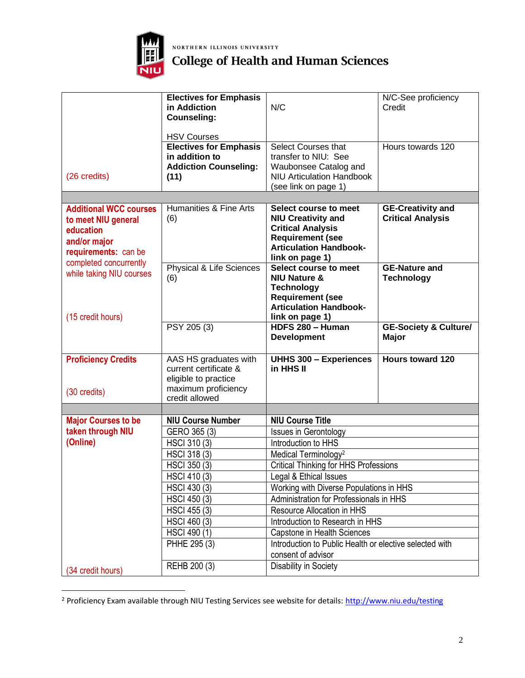

NORTHERN ILLINOIS UNIVERSITY

## **College of Health and Human Sciences**

|                                                                                                           | <b>Electives for Emphasis</b><br>in Addiction<br><b>Counseling:</b><br><b>HSV Courses</b>                                                                                                                                            | N/C                                                                                                                                                                                                                                                                                                                                                                                                                                                                 | N/C-See proficiency<br>Credit                        |  |
|-----------------------------------------------------------------------------------------------------------|--------------------------------------------------------------------------------------------------------------------------------------------------------------------------------------------------------------------------------------|---------------------------------------------------------------------------------------------------------------------------------------------------------------------------------------------------------------------------------------------------------------------------------------------------------------------------------------------------------------------------------------------------------------------------------------------------------------------|------------------------------------------------------|--|
| (26 credits)                                                                                              | <b>Electives for Emphasis</b><br>in addition to<br><b>Addiction Counseling:</b><br>(11)                                                                                                                                              | Select Courses that<br>transfer to NIU: See<br>Waubonsee Catalog and<br><b>NIU Articulation Handbook</b><br>(see link on page 1)                                                                                                                                                                                                                                                                                                                                    | Hours towards 120                                    |  |
|                                                                                                           |                                                                                                                                                                                                                                      |                                                                                                                                                                                                                                                                                                                                                                                                                                                                     |                                                      |  |
| <b>Additional WCC courses</b><br>to meet NIU general<br>education<br>and/or major<br>requirements: can be | Humanities & Fine Arts<br>(6)                                                                                                                                                                                                        | Select course to meet<br><b>NIU Creativity and</b><br><b>Critical Analysis</b><br><b>Requirement (see</b><br><b>Articulation Handbook-</b><br>link on page 1)                                                                                                                                                                                                                                                                                                       | <b>GE-Creativity and</b><br><b>Critical Analysis</b> |  |
| completed concurrently<br>while taking NIU courses<br>(15 credit hours)                                   | Physical & Life Sciences<br>(6)                                                                                                                                                                                                      | Select course to meet<br><b>NIU Nature &amp;</b><br><b>Technology</b><br><b>Requirement (see</b><br><b>Articulation Handbook-</b><br>link on page 1)                                                                                                                                                                                                                                                                                                                | <b>GE-Nature and</b><br><b>Technology</b>            |  |
|                                                                                                           | PSY 205 (3)                                                                                                                                                                                                                          | HDFS 280 - Human<br><b>Development</b>                                                                                                                                                                                                                                                                                                                                                                                                                              | <b>GE-Society &amp; Culture/</b><br><b>Major</b>     |  |
| <b>Proficiency Credits</b><br>(30 credits)                                                                | AAS HS graduates with<br>current certificate &<br>eligible to practice<br>maximum proficiency<br>credit allowed                                                                                                                      | <b>UHHS 300 - Experiences</b><br>in HHS II                                                                                                                                                                                                                                                                                                                                                                                                                          | <b>Hours toward 120</b>                              |  |
|                                                                                                           |                                                                                                                                                                                                                                      |                                                                                                                                                                                                                                                                                                                                                                                                                                                                     |                                                      |  |
| <b>Major Courses to be</b><br>taken through NIU<br>(Online)                                               | <b>NIU Course Number</b><br>GERO 365 (3)<br>HSCI 310 (3)<br>HSCI 318 (3)<br><b>HSCI 350 (3)</b><br><b>HSCI 410 (3)</b><br>HSCI 430 (3)<br><b>HSCI 450 (3)</b><br><b>HSCI 455 (3)</b><br>HSCI 460 (3)<br>HSCI 490 (1)<br>PHHE 295 (3) | <b>NIU Course Title</b><br><b>Issues in Gerontology</b><br>Introduction to HHS<br>Medical Terminology <sup>2</sup><br><b>Critical Thinking for HHS Professions</b><br>Legal & Ethical Issues<br>Working with Diverse Populations in HHS<br>Administration for Professionals in HHS<br>Resource Allocation in HHS<br>Introduction to Research in HHS<br>Capstone in Health Sciences<br>Introduction to Public Health or elective selected with<br>consent of advisor |                                                      |  |
| (34 credit hours)                                                                                         | REHB 200 (3)                                                                                                                                                                                                                         | Disability in Society                                                                                                                                                                                                                                                                                                                                                                                                                                               |                                                      |  |

<sup>&</sup>lt;sup>2</sup> Proficiency Exam available through NIU Testing Services see website for details[: http://www.niu.edu/testing](http://www.niu.edu/testing)